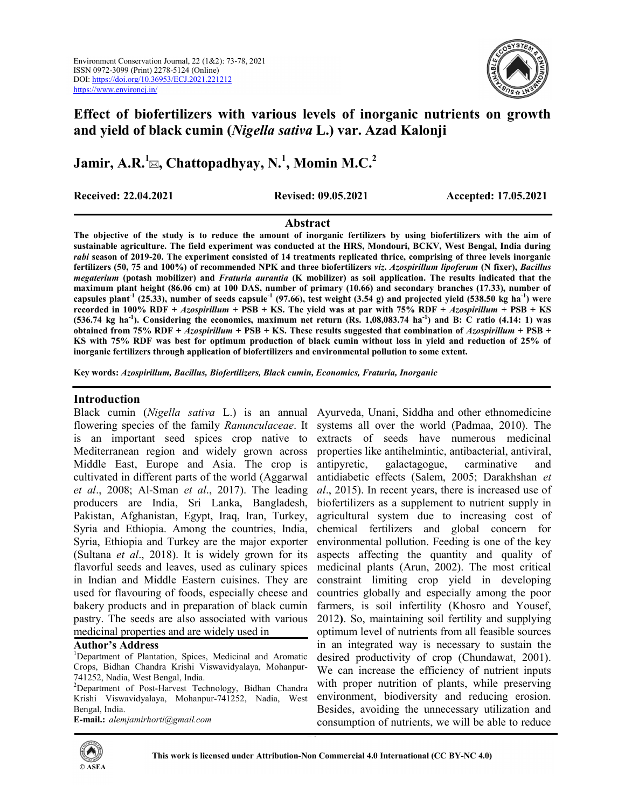

# Effect of biofertilizers with various levels of inorganic nutrients on growth and yield of black cumin (Nigella sativa L.) var. Azad Kalonji

Jamir, A.R.<sup>1</sup> $\boxtimes$ , Chattopadhyay, N.<sup>1</sup>, Momin M.C.<sup>2</sup>

Received: 22.04.2021 Revised: 09.05.2021 Accepted: 17.05.2021

extracts of seeds have numerous medicinal properties like antihelmintic, antibacterial, antiviral, antipyretic, galactagogue, carminative and antidiabetic effects (Salem, 2005; Darakhshan et al., 2015). In recent years, there is increased use of biofertilizers as a supplement to nutrient supply in agricultural system due to increasing cost of chemical fertilizers and global concern for environmental pollution. Feeding is one of the key aspects affecting the quantity and quality of medicinal plants (Arun, 2002). The most critical constraint limiting crop yield in developing countries globally and especially among the poor farmers, is soil infertility (Khosro and Yousef, 2012). So, maintaining soil fertility and supplying optimum level of nutrients from all feasible sources in an integrated way is necessary to sustain the desired productivity of crop (Chundawat, 2001). We can increase the efficiency of nutrient inputs with proper nutrition of plants, while preserving environment, biodiversity and reducing erosion. Besides, avoiding the unnecessary utilization and consumption of nutrients, we will be able to reduce

## Abstract

The objective of the study is to reduce the amount of inorganic fertilizers by using biofertilizers with the aim of sustainable agriculture. The field experiment was conducted at the HRS, Mondouri, BCKV, West Bengal, India during rabi season of 2019-20. The experiment consisted of 14 treatments replicated thrice, comprising of three levels inorganic fertilizers (50, 75 and 100%) of recommended NPK and three biofertilizers viz. Azospirillum lipoferum (N fixer), Bacillus megaterium (potash mobilizer) and Fraturia aurantia (K mobilizer) as soil application. The results indicated that the maximum plant height (86.06 cm) at 100 DAS, number of primary (10.66) and secondary branches (17.33), number of capsules plant<sup>-1</sup> (25.33), number of seeds capsule<sup>-1</sup> (97.66), test weight (3.54 g) and projected yield (538.50 kg ha<sup>-1</sup>) were recorded in 100% RDF + Azospirillum + PSB + KS. The yield was at par with 75% RDF + Azospirillum + PSB + KS (536.74 kg ha<sup>-1</sup>). Considering the economics, maximum net return (Rs. 1,08,083.74 ha<sup>-1</sup>) and B: C ratio (4.14: 1) was obtained from 75% RDF + Azospirillum + PSB + KS. These results suggested that combination of Azospirillum + PSB + KS with 75% RDF was best for optimum production of black cumin without loss in yield and reduction of 25% of inorganic fertilizers through application of biofertilizers and environmental pollution to some extent.

Key words: Azospirillum, Bacillus, Biofertilizers, Black cumin, Economics, Fraturia, Inorganic

## Introduction

Black cumin (Nigella sativa L.) is an annual Ayurveda, Unani, Siddha and other ethnomedicine flowering species of the family Ranunculaceae. It systems all over the world (Padmaa, 2010). The is an important seed spices crop native to Mediterranean region and widely grown across Middle East, Europe and Asia. The crop is cultivated in different parts of the world (Aggarwal et al., 2008; Al-Sman et al., 2017). The leading producers are India, Sri Lanka, Bangladesh, Pakistan, Afghanistan, Egypt, Iraq, Iran, Turkey, Syria and Ethiopia. Among the countries, India, Syria, Ethiopia and Turkey are the major exporter (Sultana et al., 2018). It is widely grown for its flavorful seeds and leaves, used as culinary spices in Indian and Middle Eastern cuisines. They are used for flavouring of foods, especially cheese and bakery products and in preparation of black cumin pastry. The seeds are also associated with various medicinal properties and are widely used in

## Author's Address

E-mail.: alemjamirhorti@gmail.com



<sup>&</sup>lt;sup>1</sup>Department of Plantation, Spices, Medicinal and Aromatic Crops, Bidhan Chandra Krishi Viswavidyalaya, Mohanpur-741252, Nadia, West Bengal, India.

<sup>&</sup>lt;sup>2</sup>Department of Post-Harvest Technology, Bidhan Chandra Krishi Viswavidyalaya, Mohanpur-741252, Nadia, West Bengal, India.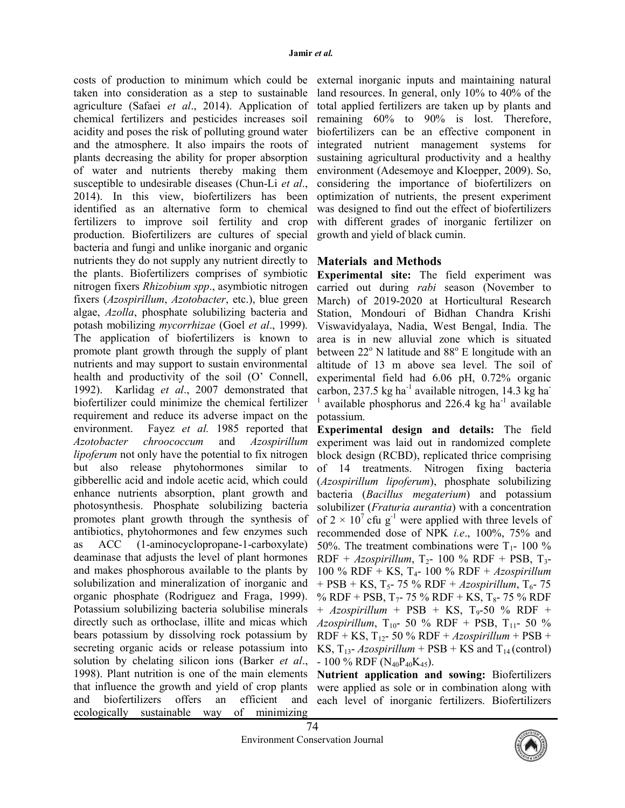costs of production to minimum which could be taken into consideration as a step to sustainable agriculture (Safaei et al., 2014). Application of chemical fertilizers and pesticides increases soil acidity and poses the risk of polluting ground water and the atmosphere. It also impairs the roots of plants decreasing the ability for proper absorption of water and nutrients thereby making them susceptible to undesirable diseases (Chun-Li et al., 2014). In this view, biofertilizers has been identified as an alternative form to chemical fertilizers to improve soil fertility and crop production. Biofertilizers are cultures of special bacteria and fungi and unlike inorganic and organic nutrients they do not supply any nutrient directly to the plants. Biofertilizers comprises of symbiotic nitrogen fixers Rhizobium spp., asymbiotic nitrogen fixers (Azospirillum, Azotobacter, etc.), blue green algae, Azolla, phosphate solubilizing bacteria and potash mobilizing mycorrhizae (Goel et al., 1999). The application of biofertilizers is known to promote plant growth through the supply of plant nutrients and may support to sustain environmental health and productivity of the soil (O' Connell, 1992). Karlidag et al., 2007 demonstrated that biofertilizer could minimize the chemical fertilizer requirement and reduce its adverse impact on the environment. Fayez *et al.* 1985 reported that Azotobacter chroococcum and Azospirillum lipoferum not only have the potential to fix nitrogen but also release phytohormones similar to gibberellic acid and indole acetic acid, which could enhance nutrients absorption, plant growth and photosynthesis. Phosphate solubilizing bacteria promotes plant growth through the synthesis of antibiotics, phytohormones and few enzymes such as ACC (1-aminocyclopropane-1-carboxylate) deaminase that adjusts the level of plant hormones and makes phosphorous available to the plants by solubilization and mineralization of inorganic and organic phosphate (Rodriguez and Fraga, 1999). Potassium solubilizing bacteria solubilise minerals directly such as orthoclase, illite and micas which bears potassium by dissolving rock potassium by secreting organic acids or release potassium into solution by chelating silicon ions (Barker et al., 1998). Plant nutrition is one of the main elements that influence the growth and yield of crop plants and biofertilizers offers an efficient and ecologically sustainable way of minimizing

external inorganic inputs and maintaining natural land resources. In general, only 10% to 40% of the total applied fertilizers are taken up by plants and remaining 60% to 90% is lost. Therefore, biofertilizers can be an effective component in integrated nutrient management systems for sustaining agricultural productivity and a healthy environment (Adesemoye and Kloepper, 2009). So, considering the importance of biofertilizers on optimization of nutrients, the present experiment was designed to find out the effect of biofertilizers with different grades of inorganic fertilizer on growth and yield of black cumin.

## Materials and Methods

Experimental site: The field experiment was carried out during rabi season (November to March) of 2019-2020 at Horticultural Research Station, Mondouri of Bidhan Chandra Krishi Viswavidyalaya, Nadia, West Bengal, India. The area is in new alluvial zone which is situated between 22° N latitude and 88° E longitude with an altitude of 13 m above sea level. The soil of experimental field had 6.06 pH, 0.72% organic carbon, 237.5 kg ha $^{-1}$  available nitrogen, 14.3 kg ha 1 available phosphorus and  $226.4 \text{ kg}$  ha<sup>-1</sup> available potassium.

Experimental design and details: The field experiment was laid out in randomized complete block design (RCBD), replicated thrice comprising of 14 treatments. Nitrogen fixing bacteria (Azospirillum lipoferum), phosphate solubilizing bacteria (Bacillus megaterium) and potassium solubilizer (*Fraturia aurantia*) with a concentration of  $2 \times 10^7$  cfu g<sup>-1</sup> were applied with three levels of recommended dose of NPK i.e., 100%, 75% and 50%. The treatment combinations were  $T_1$ - 100 % RDF + Azospirillum,  $T_2$ - 100 % RDF + PSB,  $T_3$ -100 % RDF + KS,  $T_4$ - 100 % RDF + Azospirillum + PSB + KS,  $T_5$ - 75 % RDF + Azospirillum,  $T_6$ - 75 % RDF + PSB,  $T_7$ - 75 % RDF + KS,  $T_8$ - 75 % RDF  $+$  Azospirillum + PSB + KS, T<sub>9</sub>-50 % RDF + Azospirillum,  $T_{10}$ - 50 % RDF + PSB,  $T_{11}$ - 50 %  $RDF + KS$ , T<sub>12</sub>- 50 % RDF + Azospirillum + PSB + KS,  $T_{13}$ - Azospirillum + PSB + KS and  $T_{14}$  (control)  $-100\%$  RDF (N<sub>40</sub>P<sub>40</sub>K<sub>45</sub>).

Nutrient application and sowing: Biofertilizers were applied as sole or in combination along with each level of inorganic fertilizers. Biofertilizers

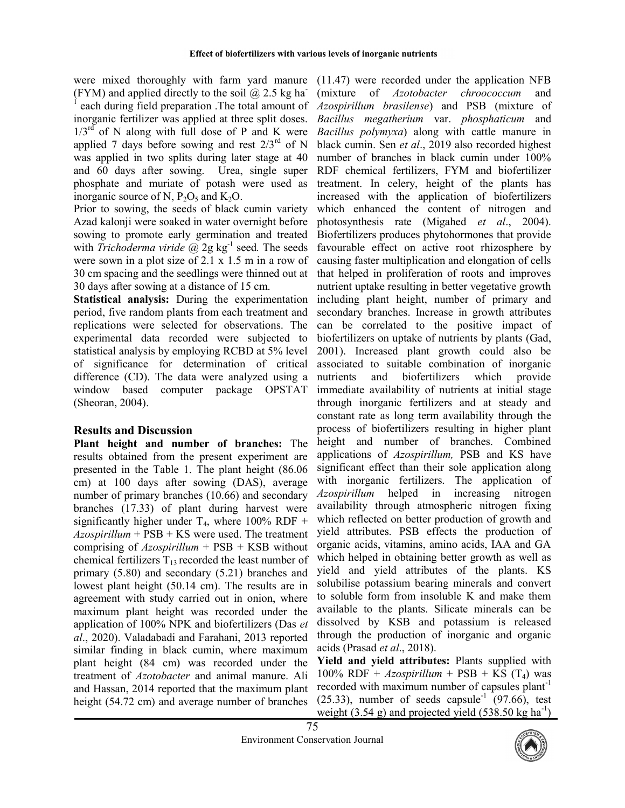were mixed thoroughly with farm yard manure (11.47) were recorded under the application NFB (FYM) and applied directly to the soil  $\omega$  2.5 kg ha 1 each during field preparation .The total amount of inorganic fertilizer was applied at three split doses.  $1/3^{rd}$  of N along with full dose of P and K were applied 7 days before sowing and rest  $2/3^{rd}$  of N was applied in two splits during later stage at 40 and 60 days after sowing. Urea, single super phosphate and muriate of potash were used as inorganic source of N,  $P_2O_5$  and  $K_2O$ .

Prior to sowing, the seeds of black cumin variety Azad kalonji were soaked in water overnight before sowing to promote early germination and treated with *Trichoderma viride*  $\omega$  2g kg<sup>-1</sup> seed. The seeds were sown in a plot size of 2.1 x 1.5 m in a row of 30 cm spacing and the seedlings were thinned out at 30 days after sowing at a distance of 15 cm.

Statistical analysis: During the experimentation period, five random plants from each treatment and replications were selected for observations. The experimental data recorded were subjected to statistical analysis by employing RCBD at 5% level of significance for determination of critical difference (CD). The data were analyzed using a window based computer package OPSTAT (Sheoran, 2004).

## Results and Discussion

Plant height and number of branches: The results obtained from the present experiment are presented in the Table 1. The plant height (86.06 cm) at 100 days after sowing (DAS), average number of primary branches (10.66) and secondary branches (17.33) of plant during harvest were significantly higher under  $T_4$ , where 100% RDF +  $Azospirillum + PSB + KS$  were used. The treatment comprising of  $Azospirillum$  + PSB + KSB without chemical fertilizers  $T_{13}$  recorded the least number of primary (5.80) and secondary (5.21) branches and lowest plant height (50.14 cm). The results are in agreement with study carried out in onion, where maximum plant height was recorded under the application of 100% NPK and biofertilizers (Das et al., 2020). Valadabadi and Farahani, 2013 reported similar finding in black cumin, where maximum plant height (84 cm) was recorded under the treatment of Azotobacter and animal manure. Ali and Hassan, 2014 reported that the maximum plant height (54.72 cm) and average number of branches

(mixture of Azotobacter chroococcum and Azospirillum brasilense) and PSB (mixture of Bacillus megatherium var. phosphaticum and Bacillus polymyxa) along with cattle manure in black cumin. Sen et al., 2019 also recorded highest number of branches in black cumin under 100% RDF chemical fertilizers, FYM and biofertilizer treatment. In celery, height of the plants has increased with the application of biofertilizers which enhanced the content of nitrogen and photosynthesis rate (Migahed et al., 2004). Biofertilizers produces phytohormones that provide favourable effect on active root rhizosphere by causing faster multiplication and elongation of cells that helped in proliferation of roots and improves nutrient uptake resulting in better vegetative growth including plant height, number of primary and secondary branches. Increase in growth attributes can be correlated to the positive impact of biofertilizers on uptake of nutrients by plants (Gad, 2001). Increased plant growth could also be associated to suitable combination of inorganic nutrients and biofertilizers which provide immediate availability of nutrients at initial stage through inorganic fertilizers and at steady and constant rate as long term availability through the process of biofertilizers resulting in higher plant height and number of branches. Combined applications of Azospirillum, PSB and KS have significant effect than their sole application along with inorganic fertilizers. The application of Azospirillum helped in increasing nitrogen availability through atmospheric nitrogen fixing which reflected on better production of growth and yield attributes. PSB effects the production of organic acids, vitamins, amino acids, IAA and GA which helped in obtaining better growth as well as yield and yield attributes of the plants. KS solubilise potassium bearing minerals and convert to soluble form from insoluble K and make them available to the plants. Silicate minerals can be dissolved by KSB and potassium is released through the production of inorganic and organic acids (Prasad et al., 2018).

Yield and yield attributes: Plants supplied with 100% RDF +  $Azospirillum$  + PSB + KS (T<sub>4</sub>) was recorded with maximum number of capsules plant<sup>-1</sup>  $(25.33)$ , number of seeds capsule<sup>-1</sup>  $(97.66)$ , test weight (3.54 g) and projected yield (538.50 kg ha<sup>-1</sup>)

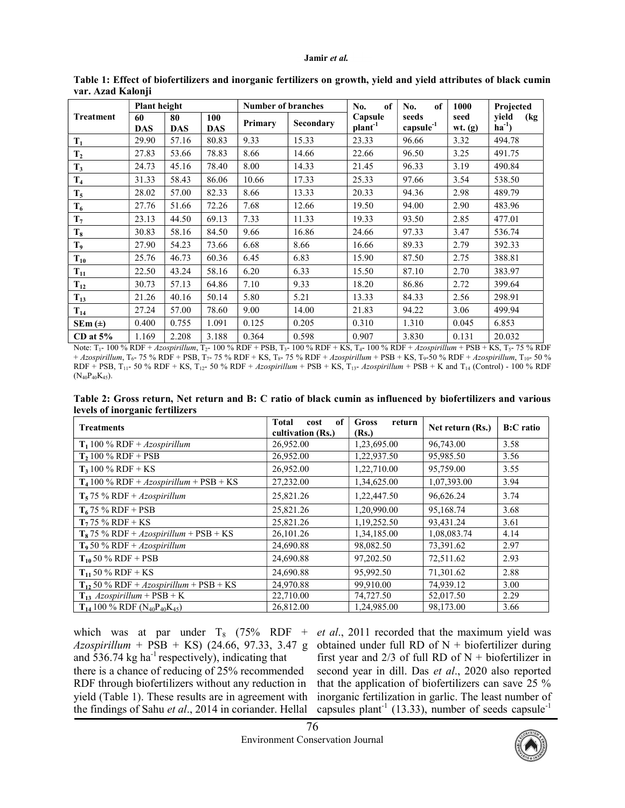#### Jamir et al.

|                  | <b>Plant height</b> |                  |                   | <b>Number of branches</b> |           | of<br>No.               | of<br>No.               | 1000              | Projected                 |
|------------------|---------------------|------------------|-------------------|---------------------------|-----------|-------------------------|-------------------------|-------------------|---------------------------|
| <b>Treatment</b> | 60<br><b>DAS</b>    | 80<br><b>DAS</b> | 100<br><b>DAS</b> | Primary                   | Secondary | Capsule<br>$plant^{-1}$ | seeds<br>$capsule^{-1}$ | seed<br>$wt.$ (g) | vield<br>(kg<br>$ha^{-1}$ |
| $T_1$            | 29.90               | 57.16            | 80.83             | 9.33                      | 15.33     | 23.33                   | 96.66                   | 3.32              | 494.78                    |
| T <sub>2</sub>   | 27.83               | 53.66            | 78.83             | 8.66                      | 14.66     | 22.66                   | 96.50                   | 3.25              | 491.75                    |
| $T_3$            | 24.73               | 45.16            | 78.40             | 8.00                      | 14.33     | 21.45                   | 96.33                   | 3.19              | 490.84                    |
| $T_4$            | 31.33               | 58.43            | 86.06             | 10.66                     | 17.33     | 25.33                   | 97.66                   | 3.54              | 538.50                    |
| $T_5$            | 28.02               | 57.00            | 82.33             | 8.66                      | 13.33     | 20.33                   | 94.36                   | 2.98              | 489.79                    |
| $T_6$            | 27.76               | 51.66            | 72.26             | 7.68                      | 12.66     | 19.50                   | 94.00                   | 2.90              | 483.96                    |
| $T_7$            | 23.13               | 44.50            | 69.13             | 7.33                      | 11.33     | 19.33                   | 93.50                   | 2.85              | 477.01                    |
| $T_{8}$          | 30.83               | 58.16            | 84.50             | 9.66                      | 16.86     | 24.66                   | 97.33                   | 3.47              | 536.74                    |
| T9               | 27.90               | 54.23            | 73.66             | 6.68                      | 8.66      | 16.66                   | 89.33                   | 2.79              | 392.33                    |
| $T_{10}$         | 25.76               | 46.73            | 60.36             | 6.45                      | 6.83      | 15.90                   | 87.50                   | 2.75              | 388.81                    |
| $T_{11}$         | 22.50               | 43.24            | 58.16             | 6.20                      | 6.33      | 15.50                   | 87.10                   | 2.70              | 383.97                    |
| $T_{12}$         | 30.73               | 57.13            | 64.86             | 7.10                      | 9.33      | 18.20                   | 86.86                   | 2.72              | 399.64                    |
| $T_{13}$         | 21.26               | 40.16            | 50.14             | 5.80                      | 5.21      | 13.33                   | 84.33                   | 2.56              | 298.91                    |
| $T_{14}$         | 27.24               | 57.00            | 78.60             | 9.00                      | 14.00     | 21.83                   | 94.22                   | 3.06              | 499.94                    |
| $SEm (\pm)$      | 0.400               | 0.755            | 1.091             | 0.125                     | 0.205     | 0.310                   | 1.310                   | 0.045             | 6.853                     |
| $CD$ at $5\%$    | 1.169               | 2.208            | 3.188             | 0.364                     | 0.598     | 0.907                   | 3.830                   | 0.131             | 20.032                    |

Table 1: Effect of biofertilizers and inorganic fertilizers on growth, yield and yield attributes of black cumin var. Azad Kalonji

Note:  $T_1$ - 100 % RDF + Azospirillum,  $T_2$ - 100 % RDF + PSB,  $T_3$ - 100 % RDF + KS,  $T_4$ - 100 % RDF + Azospirillum + PSB + KS,  $T_5$ - 75 % RDF + Azospirillum, T<sub>6</sub>- 75 % RDF + PSB, T<sub>7</sub>- 75 % RDF + KS, T<sub>8</sub>- 75 % RDF + Azospirillum + PSB + KS, T<sub>9</sub>-50 % RDF + Azospirillum, T<sub>10</sub>- 50 %  $RDF + PSB$ ,  $T_{11}$ - 50 %  $RDF + KS$ ,  $T_{12}$ - 50 %  $RDF + Azospirillum + PSB + KS$ ,  $T_{13}$ -  $Azospirillum + PSB + K$  and  $T_{14}$  (Control) - 100 %  $RDF$ (N40P40K45).

Table 2: Gross return, Net return and B: C ratio of black cumin as influenced by biofertilizers and various levels of inorganic fertilizers

| o<br><b>Treatments</b>                                                | Total<br>of<br>cost<br>cultivation (Rs.) | <b>Gross</b><br>return<br>(Rs.) | Net return (Rs.) | <b>B:C</b> ratio |
|-----------------------------------------------------------------------|------------------------------------------|---------------------------------|------------------|------------------|
| $T_1$ 100 % RDF + Azospirillum                                        | 26,952.00                                | 1,23,695.00                     | 96,743.00        | 3.58             |
| $T_2$ 100 % RDF + PSB                                                 | 26,952.00                                | 1,22,937.50                     | 95,985.50        | 3.56             |
| $T_3 100 \% RDF + KS$                                                 | 26,952.00                                | 1,22,710.00                     | 95,759.00        | 3.55             |
| $T_4$ 100 % RDF + Azospirillum + PSB + KS                             | 27,232.00                                | 1,34,625.00                     | 1,07,393.00      | 3.94             |
| $T_5$ 75 % RDF + Azospirillum                                         | 25,821.26                                | 1,22,447.50                     | 96,626.24        | 3.74             |
| $T_6$ 75 % RDF + PSB                                                  | 25,821.26                                | 1,20,990.00                     | 95,168.74        | 3.68             |
| $T_7$ 75 % RDF + KS                                                   | 25,821.26                                | 1,19,252.50                     | 93,431.24        | 3.61             |
| $T_8$ 75 % RDF + <i>Azospirillum</i> + PSB + KS                       | 26,101.26                                | 1,34,185.00                     | 1,08,083.74      | 4.14             |
| $T_9$ 50 % RDF + Azospirillum                                         | 24,690.88                                | 98,082.50                       | 73,391.62        | 2.97             |
| $T_{10}$ 50 % RDF + PSB                                               | 24,690.88                                | 97,202.50                       | 72,511.62        | 2.93             |
| $T_{11}$ 50 % RDF + KS                                                | 24,690.88                                | 95,992.50                       | 71,301.62        | 2.88             |
| $T_{12}$ 50 % RDF + Azospirillum + PSB + KS                           | 24,970.88                                | 99,910.00                       | 74,939.12        | 3.00             |
| $T_{13}$ Azospirillum + PSB + K                                       | 22,710.00                                | 74,727.50                       | 52,017.50        | 2.29             |
| $T_{14}$ 100 % RDF (N <sub>40</sub> P <sub>40</sub> K <sub>45</sub> ) | 26,812.00                                | 1,24,985.00                     | 98,173.00        | 3.66             |

which was at par under  $T_8$  (75% RDF + Azospirillum + PSB + KS) (24.66, 97.33, 3.47 g and  $536.74 \text{ kg}$  ha<sup>-1</sup> respectively), indicating that there is a chance of reducing of 25% recommended RDF through biofertilizers without any reduction in yield (Table 1). These results are in agreement with the findings of Sahu et al., 2014 in coriander. Hellal

et al., 2011 recorded that the maximum yield was obtained under full RD of  $N +$  biofertilizer during first year and  $2/3$  of full RD of N + biofertilizer in second year in dill. Das et al., 2020 also reported that the application of biofertilizers can save 25 % inorganic fertilization in garlic. The least number of capsules plant<sup>-1</sup> (13.33), number of seeds capsule<sup>-1</sup>

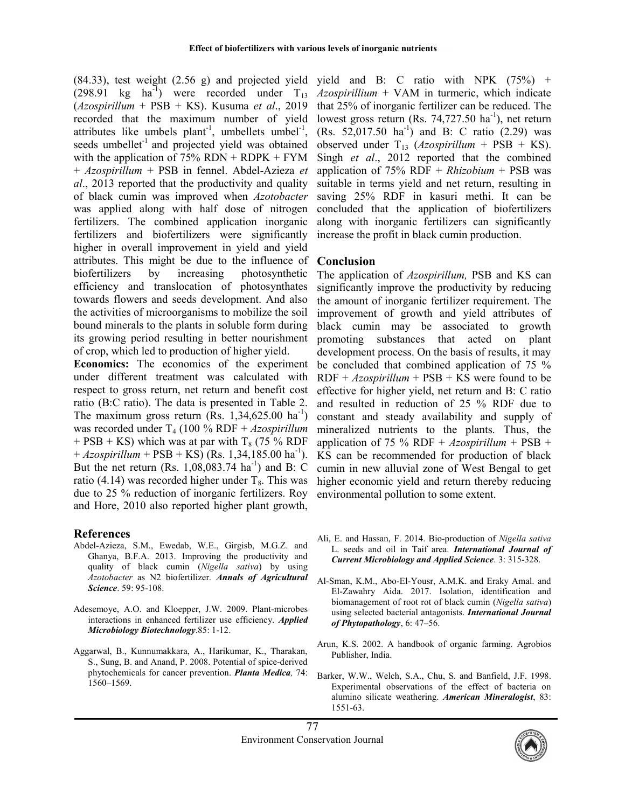$(84.33)$ , test weight  $(2.56 \text{ g})$  and projected yield yield and B: C ratio with NPK  $(75\%)$  + (298.91 kg ha<sup>-1</sup>) were recorded under  $T_{13}$  $(Azospirillum + PSB + KS)$ . Kusuma et al., 2019 recorded that the maximum number of yield attributes like umbels plant<sup>-1</sup>, umbellets umbel<sup>-1</sup>, seeds umbellet<sup>-1</sup> and projected yield was obtained with the application of  $75%$  RDN + RDPK + FYM + Azospirillum + PSB in fennel. Abdel-Azieza et al., 2013 reported that the productivity and quality of black cumin was improved when Azotobacter was applied along with half dose of nitrogen fertilizers. The combined application inorganic fertilizers and biofertilizers were significantly higher in overall improvement in yield and yield attributes. This might be due to the influence of biofertilizers by increasing photosynthetic efficiency and translocation of photosynthates towards flowers and seeds development. And also the activities of microorganisms to mobilize the soil bound minerals to the plants in soluble form during its growing period resulting in better nourishment of crop, which led to production of higher yield.

Economics: The economics of the experiment under different treatment was calculated with respect to gross return, net return and benefit cost ratio (B:C ratio). The data is presented in Table 2. The maximum gross return (Rs.  $1,34,625.00 \text{ ha}^{-1}$ ) was recorded under  $T_4$  (100 % RDF + Azospirillum + PSB + KS) which was at par with  $T_8$  (75 % RDF  $+ Azospirillum + PSB + KS$  (Rs. 1,34,185.00 ha<sup>-1</sup>). But the net return (Rs.  $1,08,083.74$  ha<sup>-1</sup>) and B: C ratio (4.14) was recorded higher under  $T_8$ . This was due to 25 % reduction of inorganic fertilizers. Roy and Hore, 2010 also reported higher plant growth,

## References

- Abdel-Azieza, S.M., Ewedab, W.E., Girgisb, M.G.Z. and Ghanya, B.F.A. 2013. Improving the productivity and quality of black cumin (Nigella sativa) by using Azotobacter as N2 biofertilizer. Annals of Agricultural Science. 59: 95-108.
- Adesemoye, A.O. and Kloepper, J.W. 2009. Plant-microbes interactions in enhanced fertilizer use efficiency. Applied Microbiology Biotechnology.85: 1-12.
- Aggarwal, B., Kunnumakkara, A., Harikumar, K., Tharakan, S., Sung, B. and Anand, P. 2008. Potential of spice-derived phytochemicals for cancer prevention. Planta Medica, 74: 1560–1569.

 $Azospirillium + VAM$  in turmeric, which indicate that 25% of inorganic fertilizer can be reduced. The lowest gross return (Rs. 74,727.50  $ha^{-1}$ ), net return (Rs. 52,017.50 ha<sup>-1</sup>) and B: C ratio  $(2.29)$  was observed under  $T_{13}$  (Azospirillum + PSB + KS). Singh et al., 2012 reported that the combined application of 75% RDF +  $Rhizobium$  + PSB was suitable in terms yield and net return, resulting in saving 25% RDF in kasuri methi. It can be concluded that the application of biofertilizers along with inorganic fertilizers can significantly increase the profit in black cumin production.

## Conclusion

The application of Azospirillum, PSB and KS can significantly improve the productivity by reducing the amount of inorganic fertilizer requirement. The improvement of growth and yield attributes of black cumin may be associated to growth promoting substances that acted on plant development process. On the basis of results, it may be concluded that combined application of 75 %  $RDF + Azospirillum + PSB + KS$  were found to be effective for higher yield, net return and B: C ratio and resulted in reduction of 25 % RDF due to constant and steady availability and supply of mineralized nutrients to the plants. Thus, the application of 75 % RDF +  $A zospirillum$  + PSB + KS can be recommended for production of black cumin in new alluvial zone of West Bengal to get higher economic yield and return thereby reducing environmental pollution to some extent.

- Ali, E. and Hassan, F. 2014. Bio-production of Nigella sativa L. seeds and oil in Taif area. International Journal of Current Microbiology and Applied Science. 3: 315-328.
- Al-Sman, K.M., Abo-El-Yousr, A.M.K. and Eraky Amal. and El-Zawahry Aida. 2017. Isolation, identification and biomanagement of root rot of black cumin (Nigella sativa) using selected bacterial antagonists. International Journal of Phytopathology, 6: 47–56.
- Arun, K.S. 2002. A handbook of organic farming. Agrobios Publisher, India.
- Barker, W.W., Welch, S.A., Chu, S. and Banfield, J.F. 1998. Experimental observations of the effect of bacteria on alumino silicate weathering. American Mineralogist, 83: 1551-63.